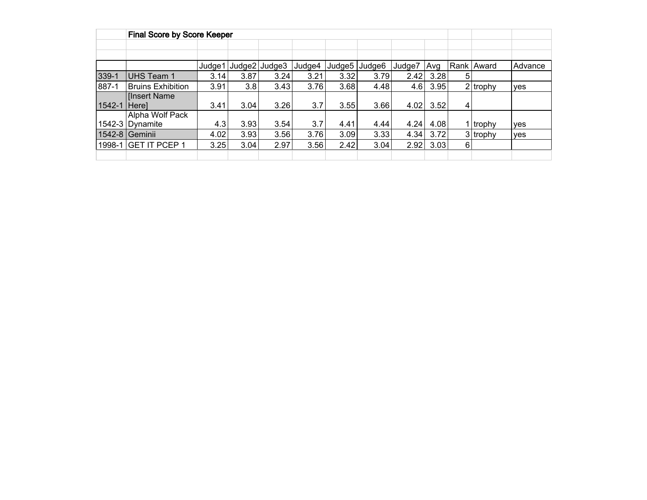|        | <b>Final Score by Score Keeper</b> |        |      |               |        |      |               |        |      |                |            |         |
|--------|------------------------------------|--------|------|---------------|--------|------|---------------|--------|------|----------------|------------|---------|
|        |                                    |        |      |               |        |      |               |        |      |                |            |         |
|        |                                    |        |      |               |        |      |               |        |      |                |            |         |
|        |                                    | Judge1 |      | Judge2 Judge3 | Judge4 |      | Judge5 Judge6 | Judge7 | Avg  |                | Rank Award | Advance |
| 339-1  | <b>UHS Team 1</b>                  | 3.14   | 3.87 | 3.24          | 3.21   | 3.32 | 3.79          | 2.42   | 3.28 | 5              |            |         |
| 887-1  | <b>Bruins Exhibition</b>           | 3.91   | 3.8  | 3.43          | 3.76   | 3.68 | 4.48          | 4.6    | 3.95 |                | $2$ trophy | ves     |
|        | <b>Insert Name</b>                 |        |      |               |        |      |               |        |      |                |            |         |
| 1542-1 | <b>Herel</b>                       | 3.41   | 3.04 | 3.26          | 3.7    | 3.55 | 3.66          | 4.02   | 3.52 | $\overline{4}$ |            |         |
|        | Alpha Wolf Pack                    |        |      |               |        |      |               |        |      |                |            |         |
|        | 1542-3 Dynamite                    | 4.3    | 3.93 | 3.54          | 3.7    | 4.41 | 4.44          | 4.24   | 4.08 |                | 1 trophy   | ves     |
|        | 1542-8 Geminii                     | 4.02   | 3.93 | 3.56          | 3.76   | 3.09 | 3.33          | 4.34   | 3.72 |                | $3$ trophy | yes     |
|        | 1998-1 GET IT PCEP 1               | 3.25   | 3.04 | 2.97          | 3.56   | 2.42 | 3.04          | 2.92   | 3.03 | 6              |            |         |
|        |                                    |        |      |               |        |      |               |        |      |                |            |         |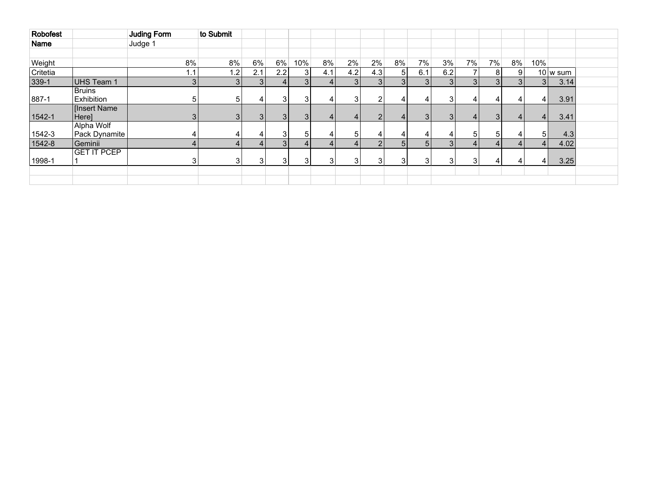| <b>Robofest</b> |                             | Juding Form | to Submit      |     |                |                |     |                |                |                |                |                |                 |    |    |                       |                        |  |
|-----------------|-----------------------------|-------------|----------------|-----|----------------|----------------|-----|----------------|----------------|----------------|----------------|----------------|-----------------|----|----|-----------------------|------------------------|--|
| <b>Name</b>     |                             | Judge 1     |                |     |                |                |     |                |                |                |                |                |                 |    |    |                       |                        |  |
|                 |                             |             |                |     |                |                |     |                |                |                |                |                |                 |    |    |                       |                        |  |
| Weight          |                             | 8%          | 8%             | 6%  | 6%             | 10%            | 8%  | $2\%$          | 2%             | 8%             | 7%             | 3%             | 7%              | 7% | 8% | 10%                   |                        |  |
| Critetia        |                             | 1.1         | .2             | 2.1 | 2.2            | 3              | 4.1 | 4.2            | 4.3            | 5              | 6.1            | 6.2            |                 |    | 9  |                       | $10 \vert w \vert$ sum |  |
| 339-1           | UHS Team 1                  |             | 3 <sub>1</sub> |     |                | 3 <sub>1</sub> |     | 3 <sup>1</sup> | 3 <sup>1</sup> | 3 <sub>1</sub> | 3 <sup>1</sup> | 3 <sub>l</sub> | 3 <sub>l</sub>  |    | 3  | 3 <sub>1</sub>        | 3.14                   |  |
|                 | <b>Bruins</b>               |             |                |     |                |                |     |                |                |                |                |                |                 |    |    |                       |                        |  |
| 887-1           | Exhibition                  |             | 5              |     |                | 3              | 4   | 31             | $\overline{2}$ | 4              | 4              | 3              | 4               | 4  |    | $\vert$               | 3.91                   |  |
| 1542-1          | <b>Insert Name</b><br>Here] |             |                | 31  | $\overline{3}$ | $\overline{3}$ | 4   | 4              | $\overline{2}$ | 4              | 3 <sup>1</sup> | 3 <sub>l</sub> | $\vert$         | 31 | Δ  | $\Delta$              | 3.41                   |  |
| 1542-3          | Alpha Wolf<br>Pack Dynamite |             |                |     |                | 5              |     | 5.             | 4              |                | 4              | 4              | 5               |    |    |                       | 4.3                    |  |
| 1542-8          | Geminii                     |             |                |     | $\mathbf{R}$   |                | Δ   | 41             | $\overline{2}$ | 5              | 5              | 3 <sub>l</sub> | $\vert 4 \vert$ |    |    | $\boldsymbol{\Delta}$ | 4.02                   |  |
|                 | <b>GET IT PCEP</b>          |             |                |     |                |                |     |                |                |                |                |                |                 |    |    |                       |                        |  |
| 1998-1          |                             |             |                | 3   |                | 3              |     | $\mathbf{3}$   | 3              | 3              | 3              | 3              | 3               |    |    |                       | 3.25                   |  |
|                 |                             |             |                |     |                |                |     |                |                |                |                |                |                 |    |    |                       |                        |  |
|                 |                             |             |                |     |                |                |     |                |                |                |                |                |                 |    |    |                       |                        |  |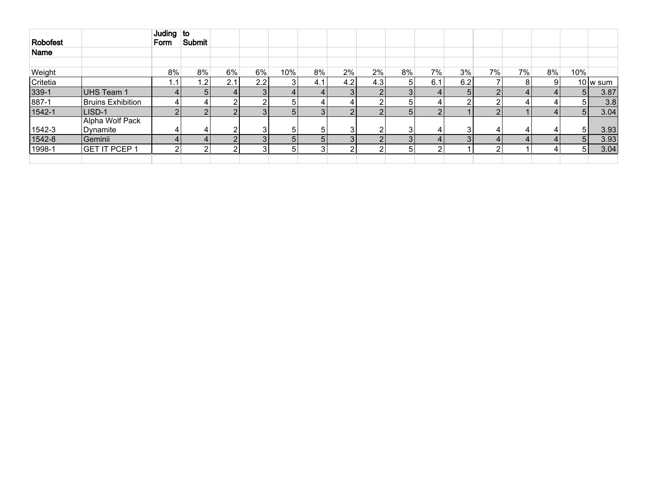|          |                             | Juding $\overline{\mathsf{to}}$ |        |        |        |                |              |                |            |    |       |     |          |    |    |                |                      |
|----------|-----------------------------|---------------------------------|--------|--------|--------|----------------|--------------|----------------|------------|----|-------|-----|----------|----|----|----------------|----------------------|
| Robofest |                             | Form                            | Submit |        |        |                |              |                |            |    |       |     |          |    |    |                |                      |
| Name     |                             |                                 |        |        |        |                |              |                |            |    |       |     |          |    |    |                |                      |
|          |                             |                                 |        |        |        |                |              |                |            |    |       |     |          |    |    |                |                      |
| Weight   |                             | 8%                              | 8%     | 6%     | $6\%$  | 10%            | 8%           | 2%             | 2%         | 8% | $7\%$ | 3%  | $7\%$    | 7% | 8% | 10%            |                      |
| Critetia |                             | 1.1                             | ا2.    | 2.1    | 2.2    | 3              | 4.1          | 4.2            | 4.3        | 5  | 6.1   | 6.2 |          |    |    |                | $10 \, \text{w}$ sum |
| 339-1    | UHS Team 1                  | 4                               |        | 41     |        | 4              |              | 3              |            |    | 4     | 51  | C        |    |    | 5 <sup>1</sup> | 3.87                 |
| 887-1    | Bruins Exhibition           | 4                               |        | ີ      |        | 5              |              |                | ົ          | 5  | 4     | ົ   |          |    |    | 51             | 3.8                  |
| 1542-1   | LISD-1                      | റ                               |        | C      |        | 5 <sub>l</sub> |              | ົ              | റ          | 5  | C     |     |          |    |    | 5 <sup>1</sup> | 3.04                 |
| 1542-3   | Alpha Wolf Pack<br>Dynamite | 4                               |        | $\sim$ | $\sim$ | 5              |              | $\sim$         | ົ          |    | 4     |     |          |    |    | 51             | 3.93                 |
| 1542-8   | Geminii                     | 4                               |        | C      |        | 5 <sub>l</sub> | $\mathbf{h}$ | 3 <sub>l</sub> | $\sqrt{2}$ |    | 4     |     | $\Delta$ |    |    | 5 <sup>1</sup> | 3.93                 |
| 1998-1   | GET IT PCEP 1               | റ                               |        | ົ      | ົ      | 5              |              | ົ              | ົ          | 5  | ົ     |     | 2        |    |    | 5 <sup>1</sup> | 3.04                 |
|          |                             |                                 |        |        |        |                |              |                |            |    |       |     |          |    |    |                |                      |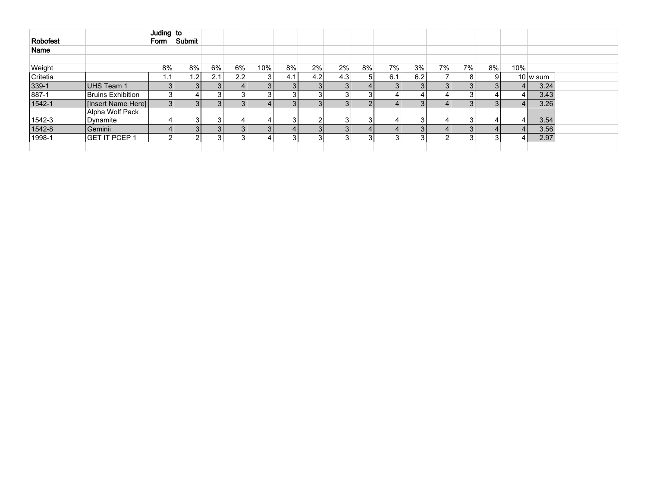| Robofest |                             | Juding to<br>Form | Submit |                |     |     |     |     |     |    |     |     |    |    |    |     |                          |
|----------|-----------------------------|-------------------|--------|----------------|-----|-----|-----|-----|-----|----|-----|-----|----|----|----|-----|--------------------------|
| Name     |                             |                   |        |                |     |     |     |     |     |    |     |     |    |    |    |     |                          |
|          |                             |                   |        |                |     |     |     |     |     |    |     |     |    |    |    |     |                          |
| Weight   |                             | 8%                | 8%     | $6\%$          | 6%  | 10% | 8%  | 2%  | 2%  | 8% | 7%  | 3%  | 7% | 7% | 8% | 10% |                          |
| Critetia |                             | 1.1               | 1.2    | 2.1            | 2.2 | 3   | 4.1 | 4.2 | 4.3 |    | 6.1 | 6.2 |    | 8  |    |     | $10 \vert w \rangle$ sum |
| 339-1    | UHS Team 1                  |                   |        | 31             |     |     | 3   |     |     |    | 3   |     |    | 3  |    |     | 3.24                     |
| 887-1    | Bruins Exhibition           |                   |        | 3              |     |     |     |     |     |    |     |     |    | 3  |    |     | 3.43                     |
| 1542-1   | [Insert Name Here]]         | 31                |        | 3 I            | 3   |     | 3   |     |     |    |     |     |    | 3  |    |     | 3.26                     |
| 1542-3   | Alpha Wolf Pack<br>Dynamite |                   |        | 3              |     |     | ົ   |     |     |    | 4   |     |    | 3  |    | 41  | 3.54                     |
| 1542-8   | Geminii                     |                   |        | 3 <sup>1</sup> | ર   |     |     |     |     |    |     |     |    | 3  |    |     | 3.56                     |
| 1998-1   | GET IT PCEP 1               |                   |        | 3              |     |     | ົ   |     |     |    |     |     | ົ  | 3  |    |     | 2.97                     |
|          |                             |                   |        |                |     |     |     |     |     |    |     |     |    |    |    |     |                          |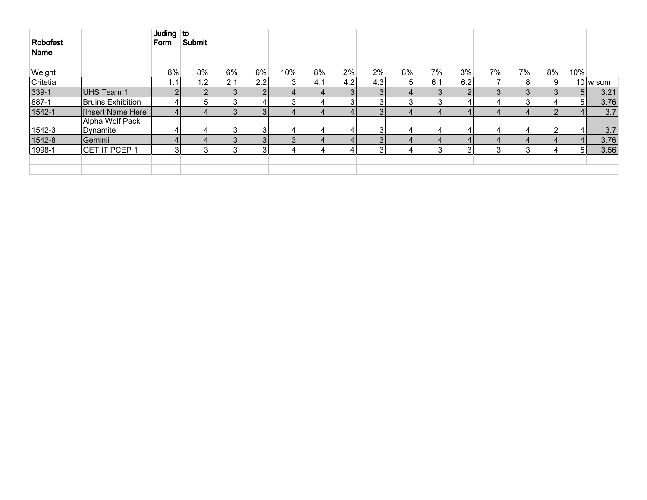| Robofest |                             | Juding to<br>Form | Submit           |                |     |     |     |     |     |                |                |     |                |       |    |                |                          |
|----------|-----------------------------|-------------------|------------------|----------------|-----|-----|-----|-----|-----|----------------|----------------|-----|----------------|-------|----|----------------|--------------------------|
| Name     |                             |                   |                  |                |     |     |     |     |     |                |                |     |                |       |    |                |                          |
| Weight   |                             | 8%                | 8%               | 6%             | 6%  | 10% | 8%  | 2%  | 2%  | 8%             | 7%             | 3%  | 7%             | $7\%$ | 8% | 10%            |                          |
| Critetia |                             | 1.1               | 1.2 <sub>1</sub> | 2.1            | 2.2 | 3   | 4.1 | 4.2 | 4.3 | 5 <sub>l</sub> | 6.1            | 6.2 |                | 8     |    |                | $10 \vert w \rangle$ sum |
| 339-1    | UHS Team 1                  | $\overline{2}$    | $\overline{2}$   | 3 <sub>l</sub> |     | 4   |     | 3   | 3   |                | 3 <sup>1</sup> |     | $\overline{3}$ |       |    | 5 <sup>1</sup> | 3.21                     |
| 887-1    | <b>Bruins Exhibition</b>    | 4                 | 5                | 3              |     | 3   |     | 3   | 3   |                | 3              |     |                |       |    | 51             | 3.76                     |
| 1542-1   | [Insert Name Here]          | $\overline{4}$    |                  | 3 <sub>l</sub> |     |     |     |     | 3   |                | 4              |     |                |       |    |                | 3.7                      |
| 1542-3   | Alpha Wolf Pack<br>Dynamite | 4                 | 4                | 3              | ົ   | 4   |     |     | 3   | 4              | 4              |     | 41             |       |    | 41             | 3.7                      |
| 1542-8   | Geminii                     | $\overline{4}$    |                  | 3              |     | 3   |     |     | 3   |                | 4              |     |                |       |    | $\overline{4}$ | 3.76                     |
| 1998-1   | <b>GET IT PCEP 1</b>        | 3                 | 3                | 3              |     | 4   |     |     | 3   |                | 3              |     | 3              |       |    | 51             | 3.56                     |
|          |                             |                   |                  |                |     |     |     |     |     |                |                |     |                |       |    |                |                          |
|          |                             |                   |                  |                |     |     |     |     |     |                |                |     |                |       |    |                |                          |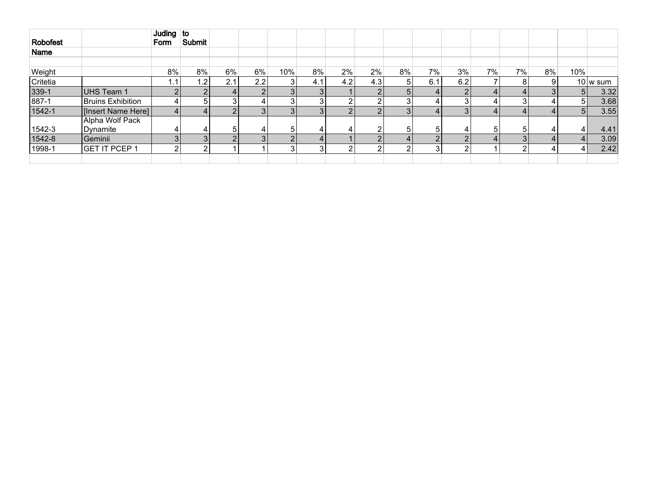| <b>Robofest</b> |                             | Juding to      |              |     |                  |     |     |            |     |    |     |     |       |    |    |                |          |
|-----------------|-----------------------------|----------------|--------------|-----|------------------|-----|-----|------------|-----|----|-----|-----|-------|----|----|----------------|----------|
|                 |                             | Form           | Submit       |     |                  |     |     |            |     |    |     |     |       |    |    |                |          |
| Name            |                             |                |              |     |                  |     |     |            |     |    |     |     |       |    |    |                |          |
|                 |                             |                |              |     |                  |     |     |            |     |    |     |     |       |    |    |                |          |
| Weight          |                             | 8%             | 8%           | 6%  | $6\%$            | 10% | 8%  | 2%         | 2%  | 8% | 7%  | 3%  | $7\%$ | 7% | 8% | 10%            |          |
| Critetia        |                             | . 1            | .2           | 2.1 | 2.2 <sub>1</sub> |     | 4.1 | 4.2        | 4.3 | 5  | 6.1 | 6.2 |       |    | 9  |                | 10 w sum |
| 339-1           | UHS Team 1                  | $\overline{2}$ | $\Omega$     |     | $\Omega$         |     | 3   |            |     | 5  |     | C   |       |    | 3  | 5 <sub>l</sub> | 3.32     |
| 887-1           | Bruins Exhibition           | 4              | $\mathbf{b}$ | 3   |                  |     | ີ   | ົ          | 2   | 3  |     | 3   |       |    | 4  | 5 <sup>1</sup> | 3.68     |
| 1542-1          | [Insert Name Here]          | 4              |              |     |                  |     | 3   | $\sqrt{2}$ |     | 3  |     |     |       |    |    | 5 <sub>1</sub> | 3.55     |
| 1542-3          | Alpha Wolf Pack<br>Dynamite | 4              |              | 5   |                  |     |     |            |     | 5  | 5   |     |       |    |    |                | 4.41     |
| 1542-8          | Geminii                     | 3              |              |     |                  |     |     |            |     | 4  |     |     |       |    |    |                | 3.09     |
| 1998-1          | <b>GET IT PCEP 1</b>        | 2              | c            |     |                  |     | ົ   | $\sqrt{2}$ | ົ   | ົ  | ≏   | ົ   |       |    | 4  | 4              | 2.42     |
|                 |                             |                |              |     |                  |     |     |            |     |    |     |     |       |    |    |                |          |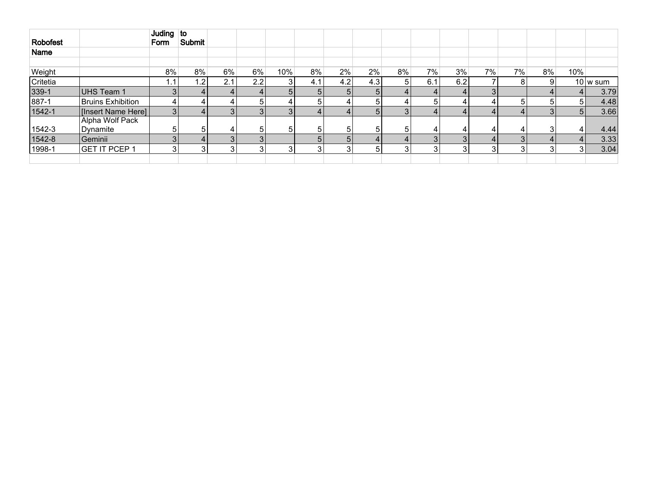| Robofest |                             | Juding $\vert$ to<br>Form | Submit |     |                  |                |       |                |     |    |     |     |    |    |    |                |                          |
|----------|-----------------------------|---------------------------|--------|-----|------------------|----------------|-------|----------------|-----|----|-----|-----|----|----|----|----------------|--------------------------|
| Name     |                             |                           |        |     |                  |                |       |                |     |    |     |     |    |    |    |                |                          |
|          |                             |                           |        |     |                  |                |       |                |     |    |     |     |    |    |    |                |                          |
| Weight   |                             | $8\%$                     | 8%     | 6%  | $6\%$            | 10%            | $8\%$ | 2%             | 2%  | 8% | 7%  | 3%  | 7% | 7% | 8% | 10%            |                          |
| Critetia |                             | . .                       | 1.2    | 2.1 | 2.2 <sub>1</sub> | 3              | 4.1   | 4.2            | 4.3 | 51 | 6.1 | 6.2 |    | 8  | 9  |                | $10 \vert w \rangle$ sum |
| 339-1    | UHS Team 1                  |                           |        |     |                  | 5 <sub>l</sub> |       | 5 <sub>l</sub> | 5   |    |     |     | 3  |    |    | 4              | 3.79                     |
| 887-1    | Bruins Exhibition           | 4                         | 4      |     |                  |                |       | 4              | 5   |    | 5   |     |    |    | 51 | 51             | 4.48                     |
| 1542-1   | [Insert Name Here]]         | 3                         |        |     |                  | 3              |       | 4              | 5   |    |     |     |    |    |    | 5 <sub>l</sub> | 3.66                     |
| 1542-3   | Alpha Wolf Pack<br>Dynamite |                           | 51     |     |                  | 5              |       | 5              | 5   | 5. |     |     |    |    |    | 4              | 4.44                     |
| 1542-8   | Geminii                     |                           |        |     |                  |                |       | 5 <sub>1</sub> |     |    | વ   |     |    |    |    | 4              | 3.33                     |
| 1998-1   | <b>GET IT PCEP 1</b>        |                           | 31     | ົ   |                  | 3              |       | 3              | 5   |    | 3   |     | ົ  | c  |    | $\mathbf{3}$   | 3.04                     |
|          |                             |                           |        |     |                  |                |       |                |     |    |     |     |    |    |    |                |                          |